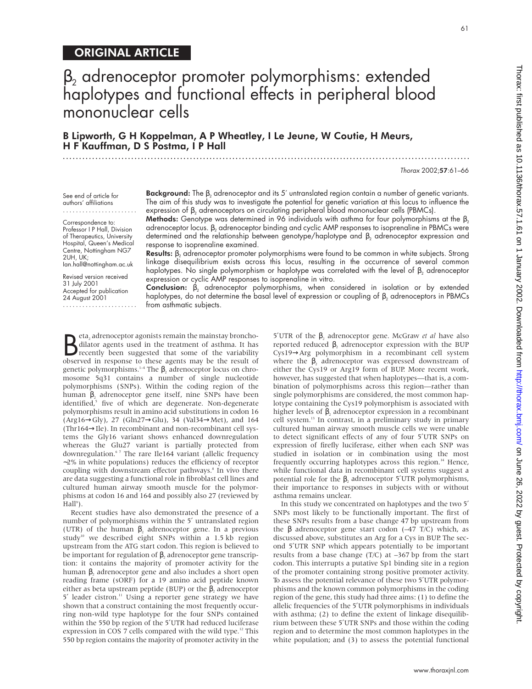# $\beta_2$  adrenoceptor promoter polymorphisms: extended haplotypes and functional effects in peripheral blood mononuclear cells

# B Lipworth, G H Koppelman, A P Wheatley, I Le Jeune, W Coutie, H Meurs, H F Kauffman, D S Postma, I P Hall .............................................................................................................................

Thorax 2002;57:61–66

See end of article for authors' affiliations

.......................

Correspondence to: Professor I P Hall, Division of Therapeutics, University Hospital, Queen's Medical Centre, Nottingham NG7 2UH, UK; Ian.hall@nottingham.ac.uk

Revised version received 31 July 2001 Accepted for publication 24 August 2001 ....................... Background: The  $\beta_2$  adrenoceptor and its 5' untranslated region contain a number of genetic variants. The aim of this study was to investigate the potential for genetic variation at this locus to influence the expression of  $β_2$  adrenoceptors on circulating peripheral blood mononuclear cells (PBMCs).

**Methods:** Genotype was determined in 96 individuals with asthma for four polymorphisms at the  $\beta_2$ adrenoceptor locus. β<sub>2</sub> adrenoceptor binding and cyclic AMP responses to isoprenaline in PBMCs were determined and the relationship between genotype/haplotype and  $\beta_2$  adrenoceptor expression and response to isoprenaline examined.

Results:  $\beta_2$  adrenoceptor promoter polymorphisms were found to be common in white subjects. Strong linkage disequilibrium exists across this locus, resulting in the occurrence of several common haplotypes. No single polymorphism or haplotype was correlated with the level of  $\beta_2$  adrenoceptor expression or cyclic AMP responses to isoprenaline in vitro.

Conclusion:  $\beta_2$  adrenoceptor polymorphisms, when considered in isolation or by extended haplotypes, do not determine the basal level of expression or coupling of  $\beta_2$  adrenoceptors in PBMCs from asthmatic subjects.

Beta<sub>2</sub> adrenoceptor agonists remain the mainstay broncho-<br>dilator agents used in the treatment of asthma. It has<br>recently been suggested that some of the variability<br>observed in response to these agents may be the result eta, adrenoceptor agonists remain the mainstay bronchodilator agents used in the treatment of asthma. It has recently been suggested that some of the variability genetic polymorphisms.<sup>1-4</sup> The β, adrenoceptor locus on chromosome 5q31 contains a number of single nucleotide polymorphisms (SNPs). Within the coding region of the human β, adrenoceptor gene itself, nine SNPs have been  $\frac{1}{2}$  five of which are degenerate. Non-degenerate polymorphisms result in amino acid substitutions in codon 16  $(Arg16 \rightarrow Gly)$ , 27 (Gln27 $\rightarrow$ Glu), 34 (Val34 $\rightarrow$ Met), and 164 (Thr164→Ile). In recombinant and non-recombinant cell systems the Gly16 variant shows enhanced downregulation whereas the Glu27 variant is partially protected from downregulation.<sup>67</sup> The rare Ile164 variant (allelic frequency ∼2% in white populations) reduces the efficiency of receptor coupling with downstream effector pathways.<sup>8</sup> In vivo there are data suggesting a functional role in fibroblast cell lines and cultured human airway smooth muscle for the polymorphisms at codon 16 and 164 and possibly also 27 (reviewed by Hall<sup>9</sup>).

Recent studies have also demonstrated the presence of a number of polymorphisms within the 5′ untranslated region (UTR) of the human  $\beta$ , adrenoceptor gene. In a previous study<sup>10</sup> we described eight SNPs within a 1.5 kb region upstream from the ATG start codon. This region is believed to be important for regulation of  $\beta$ , adrenoceptor gene transcription: it contains the majority of promoter activity for the human β, adrenoceptor gene and also includes a short open reading frame (sORF) for a 19 amino acid peptide known either as beta upstream peptide (BUP) or the  $\beta$ , adrenoceptor 5' leader cistron.<sup>11</sup> Using a reporter gene strategy we have shown that a construct containing the most frequently occurring non-wild type haplotype for the four SNPs contained within the 550 bp region of the 5′UTR had reduced luciferase expression in COS 7 cells compared with the wild type.<sup>12</sup> This 550 bp region contains the majority of promoter activity in the

5<sup>'</sup>UTR of the  $β_2$  adrenoceptor gene. McGraw *et al* have also reported reduced  $β$ , adrenoceptor expression with the BUP Cys19→Arg polymorphism in a recombinant cell system where the  $\beta_2$  adrenoceptor was expressed downstream of either the Cys19 or Arg19 form of BUP. More recent work, however, has suggested that when haplotypes—that is, a combination of polymorphisms across this region—rather than single polymorphisms are considered, the most common haplotype containing the Cys19 polymorphism is associated with higher levels of  $β_2$  adrenoceptor expression in a recombinant cell system.13 In contrast, in a preliminary study in primary cultured human airway smooth muscle cells we were unable to detect significant effects of any of four 5′UTR SNPs on expression of firefly luciferase, either when each SNP was studied in isolation or in combination using the most frequently occurring haplotypes across this region.<sup>14</sup> Hence, while functional data in recombinant cell systems suggest a potential role for the β, adrenoceptor 5<sup> $′$ </sup>UTR polymorphisms, their importance to responses in subjects with or without asthma remains unclear.

In this study we concentrated on haplotypes and the two 5′ SNPs most likely to be functionally important. The first of these SNPs results from a base change 47 bp upstream from the β adrenoceptor gene start codon  $(-47 T/C)$  which, as discussed above, substitutes an Arg for a Cys in BUP. The second 5′UTR SNP which appears potentially to be important results from a base change  $(T/C)$  at  $-367$  bp from the start codon. This interrupts a putative Sp1 binding site in a region of the promoter containing strong positive promoter activity. To assess the potential relevance of these two 5′UTR polymorphisms and the known common polymorphisms in the coding region of the gene, this study had three aims: (1) to define the allelic frequencies of the 5′UTR polymorphisms in individuals with asthma; (2) to define the extent of linkage disequilibrium between these 5′UTR SNPs and those within the coding region and to determine the most common haplotypes in the white population; and (3) to assess the potential functional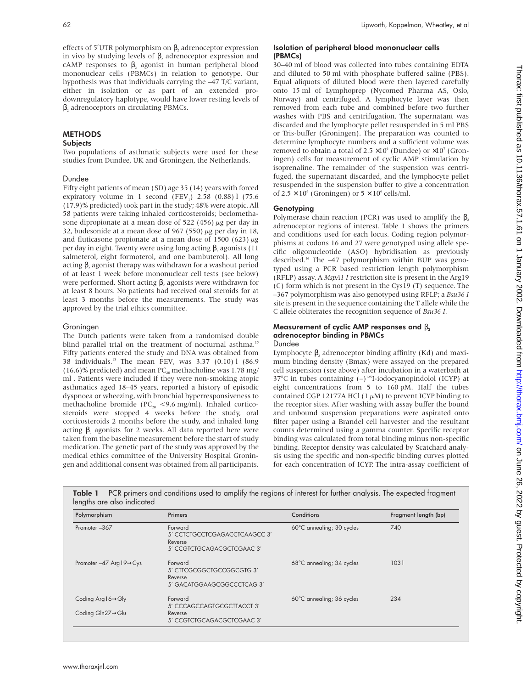effects of 5'UTR polymorphism on  $β$ , adrenoceptor expression in vivo by studying levels of  $β_2$  adrenoceptor expression and cAMP responses to  $\beta$ , agonist in human peripheral blood mononuclear cells (PBMCs) in relation to genotype. Our hypothesis was that individuals carrying the –47 T/C variant, either in isolation or as part of an extended prodownregulatory haplotype, would have lower resting levels of β, adrenoceptors on circulating PBMCs.

# **METHODS**

## **Subjects**

Two populations of asthmatic subjects were used for these studies from Dundee, UK and Groningen, the Netherlands.

# Dundee

Fifty eight patients of mean (SD) age 35 (14) years with forced expiratory volume in 1 second (FEV<sub>1</sub>)  $2.58$  (0.88) l (75.6) (17.9)% predicted) took part in the study; 48% were atopic. All 58 patients were taking inhaled corticosteroids; beclomethasone dipropionate at a mean dose of 522 (456)  $\mu$ g per day in 32, budesonide at a mean dose of 967 (550)  $\mu$ g per day in 18, and fluticasone propionate at a mean dose of 1500 (623)  $\mu$ g per day in eight. Twenty were using long acting  $β$ , agonists (11 salmeterol, eight formoterol, and one bambuterol). All long acting  $β$ , agonist therapy was withdrawn for a washout period of at least 1 week before mononuclear cell tests (see below) were performed. Short acting  $\beta$ , agonists were withdrawn for at least 8 hours. No patients had received oral steroids for at least 3 months before the measurements. The study was approved by the trial ethics committee.

## Groningen

The Dutch patients were taken from a randomised double blind parallel trial on the treatment of nocturnal asthma.<sup>15</sup> Fifty patients entered the study and DNA was obtained from 38 individuals.<sup>15</sup> The mean  $FEV_1$  was 3.37 (0.10) l (86.9 (16.6)% predicted) and mean PC<sub>20</sub> methacholine was 1.78 mg/ ml . Patients were included if they were non-smoking atopic asthmatics aged 18–45 years, reported a history of episodic dyspnoea or wheezing, with bronchial hyperresponsiveness to methacholine bromide ( $PC_{20}$  <9.6 mg/ml). Inhaled corticosteroids were stopped 4 weeks before the study, oral corticosteroids 2 months before the study, and inhaled long acting  $β$ , agonists for 2 weeks. All data reported here were taken from the baseline measurement before the start of study medication. The genetic part of the study was approved by the medical ethics committee of the University Hospital Groningen and additional consent was obtained from all participants.

#### Isolation of peripheral blood mononuclear cells (PBMCs)

30–40 ml of blood was collected into tubes containing EDTA and diluted to 50 ml with phosphate buffered saline (PBS). Equal aliquots of diluted blood were then layered carefully onto 15 ml of Lymphoprep (Nycomed Pharma AS, Oslo, Norway) and centrifuged. A lymphocyte layer was then removed from each tube and combined before two further washes with PBS and centrifugation. The supernatant was discarded and the lymphocyte pellet resuspended in 5 ml PBS or Tris-buffer (Groningen). The preparation was counted to determine lymphocyte numbers and a sufficient volume was removed to obtain a total of  $2.5 \times 10^6$  (Dundee) or  $\times 10^7$  (Groningen) cells for measurement of cyclic AMP stimulation by isoprenaline. The remainder of the suspension was centrifuged, the supernatant discarded, and the lymphocyte pellet resuspended in the suspension buffer to give a concentration of  $2.5 \times 10^6$  (Groningen) or  $5 \times 10^6$  cells/ml.

# **Genotyping**

Polymerase chain reaction (PCR) was used to amplify the  $\beta$ , adrenoceptor regions of interest. Table 1 shows the primers and conditions used for each locus. Coding region polymorphisms at codons 16 and 27 were genotyped using allele specific oligonucleotide (ASO) hybridisation as previously described.16 The –47 polymorphism within BUP was genotyped using a PCR based restriction length polymorphism (RFLP) assay. A *MspA1 I* restriction site is present in the Arg19 (C) form which is not present in the Cys19 (T) sequence. The –367 polymorphism was also genotyped using RFLP; a *Bsu36 I* site is present in the sequence containing the T allele while the C allele obliterates the recognition sequence of *Bsu36 I.*

#### Measurement of cyclic AMP responses and  $\beta_2$ adrenoceptor binding in PBMCs Dundee

Lymphocyte  $β$ , adrenoceptor binding affinity (Kd) and maximum binding density (Bmax) were assayed on the prepared cell suspension (see above) after incubation in a waterbath at 37°C in tubes containing  $(-)^{125}$ I-iodocyanopindolol (ICYP) at eight concentrations from 5 to 160 pM. Half the tubes contained CGP 12177A HCl (1 $\mu$ M) to prevent ICYP binding to the receptor sites. After washing with assay buffer the bound and unbound suspension preparations were aspirated onto filter paper using a Brandel cell harvester and the resultant counts determined using a gamma counter. Specific receptor binding was calculated from total binding minus non-specific binding. Receptor density was calculated by Scatchard analysis using the specific and non-specific binding curves plotted for each concentration of ICYP. The intra-assay coefficient of

| Polymorphism                   | <b>Primers</b>                                                                    | Conditions                | Fragment length (bp) |
|--------------------------------|-----------------------------------------------------------------------------------|---------------------------|----------------------|
| Promoter-367                   | Forward<br>5' CCTCTGCCTCGAGACCTCAAGCC 3'<br>Reverse<br>5' CCGTCTGCAGACGCTCGAAC 3' | 60°C annealing; 30 cycles | 740                  |
| Promoter -47 Arg 19→Cys        | Forward<br>5' CTTCGCGGCTGCCGGCGTG 3'<br>Reverse<br>5' GACATGGAAGCGGCCCTCAG 3'     | 68°C annealing; 34 cycles | 1031                 |
| Coding Arg 16→Gly              | Forward<br>5' CCCAGCCAGTGCGCTTACCT 3'                                             | 60°C annealing; 36 cycles | 234                  |
| Coding $Gln27 \rightarrow Glu$ | Reverse<br>5' CCGTCTGCAGACGCTCGAAC 3'                                             |                           |                      |

Table 1 PCR primers and conditions used to amplify the regions of interest for further analysis. The expected fragment lengths are also indicated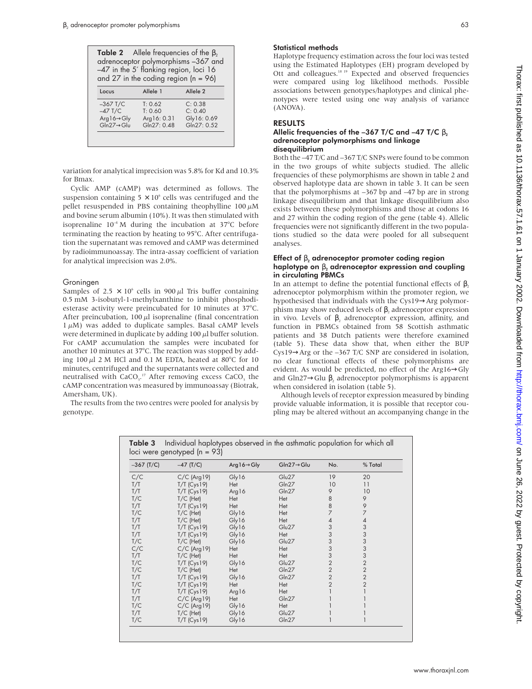| <b>Table 2</b> Allele frequencies of the $\beta_2$<br>adrenoceptor polymorphisms -367 and<br>$-47$ in the 5' flanking region, loci 16<br>and 27 in the coding region $(n = 96)$ |             |                     |  |  |
|---------------------------------------------------------------------------------------------------------------------------------------------------------------------------------|-------------|---------------------|--|--|
| Locus                                                                                                                                                                           | Allele 1    | Allele <sub>2</sub> |  |  |
|                                                                                                                                                                                 |             |                     |  |  |
| $-367$ T/C                                                                                                                                                                      | T: 0.62     | C: 0.38             |  |  |
| $-47$ T/C                                                                                                                                                                       | T: 0.60     | C: 0.40             |  |  |
| Arg $16 \rightarrow Gly$                                                                                                                                                        | Arg16: 0.31 | Gly16: 0.69         |  |  |

variation for analytical imprecision was 5.8% for Kd and 10.3% for Bmax.

Cyclic AMP (cAMP) was determined as follows. The suspension containing  $5 \times 10^6$  cells was centrifuged and the pellet resuspended in PBS containing theophylline  $100 \mu M$ and bovine serum albumin (10%). It was then stimulated with isoprenaline  $10^{-4}$  M during the incubation at 37 $^{\circ}$ C before terminating the reaction by heating to 95°C. After centrifugation the supernatant was removed and cAMP was determined by radioimmunoassay. The intra-assay coefficient of variation for analytical imprecision was 2.0%.

## Groningen

Samples of 2.5  $\times$  10<sup>6</sup> cells in 900  $\mu$ l Tris buffer containing 0.5 mM 3-isobutyl-1-methylxanthine to inhibit phosphodiesterase activity were preincubated for 10 minutes at 37°C. After preincubation, 100  $\mu$ l isoprenaline (final concentration  $1 \mu$ M) was added to duplicate samples. Basal cAMP levels were determined in duplicate by adding 100  $\mu$ l buffer solution. For cAMP accumulation the samples were incubated for another 10 minutes at 37°C. The reaction was stopped by adding  $100 \mu$ l 2 M HCl and 0.1 M EDTA, heated at 80°C for 10 minutes, centrifuged and the supernatants were collected and neutralised with CaCO<sub>3</sub>.<sup>17</sup> After removing excess CaCO<sub>3</sub> the cAMP concentration was measured by immunoassay (Biotrak, Amersham, UK).

The results from the two centres were pooled for analysis by genotype.

## Statistical methods

Haplotype frequency estimation across the four loci was tested using the Estimated Haplotypes (EH) program developed by Ott and colleagues.18 19 Expected and observed frequencies were compared using log likelihood methods. Possible associations between genotypes/haplotypes and clinical phenotypes were tested using one way analysis of variance (ANOVA).

# RESULTS

#### Allelic frequencies of the –367 T/C and –47 T/C  $\beta$ , adrenoceptor polymorphisms and linkage disequilibrium

Both the –47 T/C and –367 T/C SNPs were found to be common in the two groups of white subjects studied. The allelic frequencies of these polymorphisms are shown in table 2 and observed haplotype data are shown in table 3. It can be seen that the polymorphisms at –367 bp and –47 bp are in strong linkage disequilibrium and that linkage disequilibrium also exists between these polymorphisms and those at codons 16 and 27 within the coding region of the gene (table 4). Allelic frequencies were not significantly different in the two populations studied so the data were pooled for all subsequent analyses.

## Effect of  $\beta_2$  adrenoceptor promoter coding region haplotype on  $\beta_2$  adrenoceptor expression and coupling in circulating PBMCs

In an attempt to define the potential functional effects of  $β$ , adrenoceptor polymorphism within the promoter region, we hypothesised that individuals with the Cys19→Arg polymorphism may show reduced levels of  $β$ , adrenoceptor expression in vivo. Levels of  $β$ , adrenoceptor expression, affinity, and function in PBMCs obtained from 58 Scottish asthmatic patients and 38 Dutch patients were therefore examined (table 5). These data show that, when either the BUP Cys19→Arg or the –367 T/C SNP are considered in isolation, no clear functional effects of these polymorphisms are evident. As would be predicted, no effect of the Arg16→Gly and Gln27 $\rightarrow$ Glu  $\beta$ , adrenoceptor polymorphisms is apparent when considered in isolation (table 5).

Although levels of receptor expression measured by binding provide valuable information, it is possible that receptor coupling may be altered without an accompanying change in the

**Table 3** Individual haplotypes observed in the asthmatic population for which all  $loci$  were genotyped  $ln = 03$ 

| $-367$ (T/C) | $-47$ (T/C)    | Arg $16 \rightarrow Gly$ | Gln27→Glu | No.            | % Total        |
|--------------|----------------|--------------------------|-----------|----------------|----------------|
| C/C          | $C/C$ (Arg 19) | Gly16                    | Glu27     | 19             | 20             |
| T/T          | $T/T$ (Cys19)  | Het                      | Gln27     | 10             | 11             |
| T/T          | $T/T$ (Cys19)  | Arg16                    | Gln27     | 9              | 10             |
| T/C          | $T/C$ (Het)    | Het                      | Het       | 8              | 9              |
| T/T          | $T/T$ (Cys19)  | Het                      | Het       | 8              | 9              |
| T/C          | $T/C$ (Het)    | Gly16                    | Het       |                | $\overline{7}$ |
| T/T          | $T/C$ (Het)    | Gly16                    | Het       | 4              | 4              |
| T/T          | $T/T$ (Cys19)  | Gly16                    | Glu27     | 3              | 3              |
| T/T          | $T/T$ (Cys19)  | Gly16                    | Het       | 3              | 3              |
| T/C          | $T/C$ (Het)    | Gly16                    | Glu27     | 3              | 3              |
| C/C          | $C/C$ (Arg 19) | Het                      | Het       | 3              | 3              |
| T/T          | $T/C$ (Het)    | Het                      | Het       | 3              | 3              |
| T/C          | $T/T$ (Cys19)  | Gly16                    | Glu27     | $\overline{2}$ | $\overline{2}$ |
| T/C          | $T/C$ (Het)    | Het                      | Gln27     | $\overline{2}$ | $\overline{2}$ |
| T/T          | $T/T$ (Cys19)  | Gly16                    | Gln27     | $\overline{2}$ | $\overline{2}$ |
| T/C          | $T/T$ (Cys19)  | Het                      | Het       | $\overline{2}$ | $\overline{2}$ |
| T/T          | $T/T$ (Cys19)  | Arg16                    | Het       |                |                |
| T/T          | $C/C$ (Arg 19) | Het                      | Gln27     |                |                |
| T/C          | $C/C$ (Arg 19) | Gly16                    | Het       |                |                |
| T/T          | $T/C$ (Het)    | Gly16                    | Glu27     |                |                |
| T/C          | $T/T$ (Cys19)  | Gly16                    | Gln27     |                |                |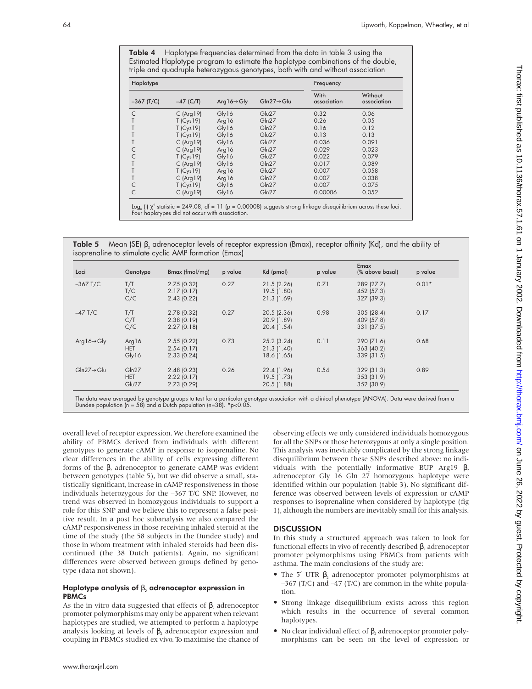Table 4 Haplotype frequencies determined from the data in table 3 using the Estimated Haplotype program to estimate the haplotype combinations of the double, triple and quadruple heterozygous genotypes, both with and without association

| Haplotype    |              |                          |                         | Frequency           |                        |  |
|--------------|--------------|--------------------------|-------------------------|---------------------|------------------------|--|
| $-367$ (T/C) | $-47$ (C/T)  | Arg $16 \rightarrow Gly$ | $Gln27 \rightarrow Glu$ | With<br>association | Without<br>association |  |
| C            | $C$ (Arg 19) | Gly16                    | Glu27                   | 0.32                | 0.06                   |  |
|              | $T$ (Cys19)  | Arg $16$                 | Gln27                   | 0.26                | 0.05                   |  |
|              | $T$ (Cys19)  | Gly16                    | Gln27                   | 0.16                | 0.12                   |  |
|              | $T$ (Cys19)  | Gly16                    | Glu27                   | 0.13                | 0.13                   |  |
|              | $C$ (Arg 19) | Gly16                    | $G\omega27$             | 0.036               | 0.091                  |  |
|              | $C$ (Arg 19) | Arg $16$                 | Gln27                   | 0.029               | 0.023                  |  |
| C            | $T$ (Cys19)  | Gly16                    | Glu27                   | 0.022               | 0.079                  |  |
|              | $C$ (Arg 19) | Gly16                    | Gln27                   | 0.017               | 0.089                  |  |
|              | $T$ (Cys19)  | Arg16                    | Glu27                   | 0.007               | 0.058                  |  |
|              | $C$ (Arg 19) | Arg $16$                 | Gln27                   | 0.007               | 0.038                  |  |
| C            | $T$ (Cys19)  | Gly16                    | Gln27                   | 0.007               | 0.075                  |  |
| C            | $C$ (Arg 19) | Gly16                    | Gln27                   | 0.00006             | 0.052                  |  |

Log<sub>n</sub> (l) χ² statistic = 249.08, df = 11 (p = 0.00008) suggests strong linkage disequilibrium across these loci.<br>Four haplotypes did not occur with association.

Table 5 Mean (SE) β<sub>2</sub> adrenoceptor levels of receptor expression (Bmax), receptor affinity (Kd), and the ability of isoprenaline to stimulate cyclic AMP formation (Emax)

| Loci                     | Genotype                     | Bmax (fmol/mg)                               | p value | Kd (pmol)                                  | p value | Emax<br>(% above basal)                | p value |
|--------------------------|------------------------------|----------------------------------------------|---------|--------------------------------------------|---------|----------------------------------------|---------|
| $-367$ T/C               | T/T<br>T/C<br>C/C            | 2.75(0.32)<br>2.17(0.17)<br>2.43(0.22)       | 0.27    | 21.5(2.26)<br>19.5 (1.80)<br>21.3 (1.69)   | 0.71    | 289 (27.7)<br>452 (57.3)<br>327 (39.3) | $0.01*$ |
| $-47$ T/C                | T/T<br>C/T<br>C/C            | $2.78$ (0.32)<br>2.38(0.19)<br>2.27(0.18)    | 0.27    | 20.5 (2.36)<br>20.9 (1.89)<br>20.4 (1.54)  | 0.98    | 305 (28.4)<br>409 (57.8)<br>331 (37.5) | 0.17    |
| Arg $16 \rightarrow Gly$ | Arg16<br><b>HET</b><br>Gly16 | 2.55(0.22)<br>2.54(0.17)<br>2.33(0.24)       | 0.73    | $25.2$ (3.24)<br>21.3(1.40)<br>18.6 (1.65) | 0.11    | 290 (71.6)<br>363(40.2)<br>339 (31.5)  | 0.68    |
| $Gln27 \rightarrow Glu$  | Gln27<br><b>HET</b><br>Glu27 | $2.48$ (0.23)<br>2.22(0.17)<br>$2.73$ (0.29) | 0.26    | 22.4 (1.96)<br>19.5 (1.73)<br>20.5 (1.88)  | 0.54    | 329 (31.3)<br>353 (31.9)<br>352 (30.9) | 0.89    |

The data were averaged by genotype groups to test for a particular genotype association with a clinical phenotype (ANOVA). Data were derived from a<br>Dundee population (n = 58) and a Dutch population (n=38). \*p<0.05.

overall level of receptor expression. We therefore examined the ability of PBMCs derived from individuals with different genotypes to generate cAMP in response to isoprenaline. No clear differences in the ability of cells expressing different forms of the  $\beta$ , adrenoceptor to generate cAMP was evident between genotypes (table 5), but we did observe a small, statistically significant, increase in cAMP responsiveness in those individuals heterozygous for the –367 T/C SNP. However, no trend was observed in homozygous individuals to support a role for this SNP and we believe this to represent a false positive result. In a post hoc subanalysis we also compared the cAMP responsiveness in those receiving inhaled steroid at the time of the study (the 58 subjects in the Dundee study) and those in whom treatment with inhaled steroids had been discontinued (the 38 Dutch patients). Again, no significant differences were observed between groups defined by genotype (data not shown).

#### Haplotype analysis of  $\beta_2$  adrenoceptor expression in PBMCs

As the in vitro data suggested that effects of  $\beta_2$  adrenoceptor promoter polymorphisms may only be apparent when relevant haplotypes are studied, we attempted to perform a haplotype analysis looking at levels of  $β$ , adrenoceptor expression and coupling in PBMCs studied ex vivo. To maximise the chance of observing effects we only considered individuals homozygous for all the SNPs or those heterozygous at only a single position. This analysis was inevitably complicated by the strong linkage disequilibrium between these SNPs described above: no individuals with the potentially informative BUP Arg19  $β$ , adrenoceptor Gly 16 Gln 27 homozygous haplotype were identified within our population (table 3). No significant difference was observed between levels of expression or cAMP responses to isoprenaline when considered by haplotype (fig 1), although the numbers are inevitably small for this analysis.

# **DISCUSSION**

In this study a structured approach was taken to look for functional effects in vivo of recently described  $β$ , adrenoceptor promoter polymorphisms using PBMCs from patients with asthma. The main conclusions of the study are:

- The 5' UTR  $\beta_2$  adrenoceptor promoter polymorphisms at –367 (T/C) and –47 (T/C) are common in the white population.
- Strong linkage disequilibrium exists across this region which results in the occurrence of several common haplotypes.
- No clear individual effect of  $\beta$ , adrenoceptor promoter polymorphisms can be seen on the level of expression or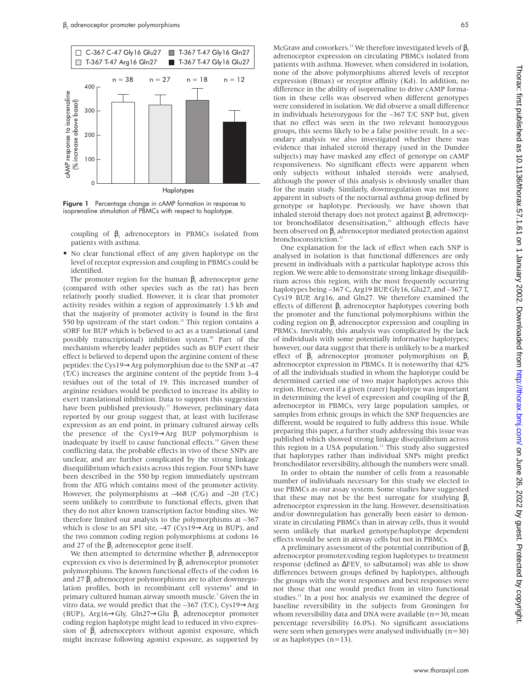

Figure 1 Percentage change in cAMP formation in response to isoprenaline stimulation of PBMCs with respect to haplotype.

coupling of  $β$ , adrenoceptors in PBMCs isolated from patients with asthma.

• No clear functional effect of any given haplotype on the level of receptor expression and coupling in PBMCs could be identified.

The promoter region for the human  $\beta$ , adrenoceptor gene (compared with other species such as the rat) has been relatively poorly studied. However, it is clear that promoter activity resides within a region of approximately 1.5 kb and that the majority of promoter activity is found in the first 550 bp upstream of the start codon.<sup>12</sup> This region contains a sORF for BUP which is believed to act as a translational (and possibly transcriptional) inhibition system.<sup>20</sup> Part of the mechanism whereby leader peptides such as BUP exert their effect is believed to depend upon the arginine content of these peptides: the Cys19→Arg polymorphism due to the SNP at –47 (T/C) increases the arginine content of the peptide from 3–4 residues out of the total of 19. This increased number of arginine residues would be predicted to increase its ability to exert translational inhibition. Data to support this suggestion have been published previously.<sup>11</sup> However, preliminary data reported by our group suggest that, at least with luciferase expression as an end point, in primary cultured airway cells the presence of the Cys19→Arg BUP polymorphism is inadequate by itself to cause functional effects.<sup>14</sup> Given these conflicting data, the probable effects in vivo of these SNPs are unclear, and are further complicated by the strong linkage disequilibrium which exists across this region. Four SNPs have been described in the 550 bp region immediately upstream from the ATG which contains most of the promoter activity. However, the polymorphisms at  $-468$  (C/G) and  $-20$  (T/C) seem unlikely to contribute to functional effects, given that they do not alter known transcription factor binding sites. We therefore limited our analysis to the polymorphisms at –367 which is close to an SP1 site,  $-47$  (Cys19 $\rightarrow$ Arg in BUP), and the two common coding region polymorphisms at codons 16 and 27 of the  $β$ , adrenoceptor gene itself.

We then attempted to determine whether  $β$ , adrenoceptor expression ex vivo is determined by  $\beta$ , adrenoceptor promoter polymorphisms. The known functional effects of the codon 16 and 27  $\beta$ , adrenoceptor polymorphisms are to alter downregulation profiles, both in recombinant cell systems<sup>6</sup> and in primary cultured human airway smooth muscle.<sup>7</sup> Given the in vitro data, we would predict that the  $-367$  (T/C), Cys19 $\rightarrow$ Arg (BUP), Arg16 $\rightarrow$ Gly, Gln27 $\rightarrow$ Glu  $\beta$ , adrenoceptor promoter coding region haplotype might lead to reduced in vivo expression of  $\beta_2$  adrenoceptors without agonist exposure, which might increase following agonist exposure, as supported by

McGraw and coworkers.<sup>11</sup> We therefore investigated levels of  $\beta$ , adrenoceptor expression on circulating PBMCs isolated from patients with asthma. However, when considered in isolation, none of the above polymorphisms altered levels of receptor expression (Bmax) or receptor affinity (Kd). In addition, no difference in the ability of isoprenaline to drive cAMP formation in these cells was observed when different genotypes were considered in isolation. We did observe a small difference in individuals heterozygous for the –367 T/C SNP but, given that no effect was seen in the two relevant homozygous groups, this seems likely to be a false positive result. In a secondary analysis we also investigated whether there was evidence that inhaled steroid therapy (used in the Dundee subjects) may have masked any effect of genotype on cAMP responsiveness. No significant effects were apparent when only subjects without inhaled steroids were analysed, although the power of this analysis is obviously smaller than for the main study. Similarly, downregulation was not more apparent in subsets of the nocturnal asthma group defined by genotype or haplotype. Previously, we have shown that inhaled steroid therapy does not protect against  $\beta$ , adrenoceptor bronchodilator desensitisation,<sup>21</sup> although effects have been observed on β, adrenoceptor mediated protection against bronchoconstriction.<sup>22</sup>

One explanation for the lack of effect when each SNP is analysed in isolation is that functional differences are only present in individuals with a particular haplotype across this region. We were able to demonstrate strong linkage disequilibrium across this region, with the most frequently occurring haplotypes being –367 C, Arg19 BUP, Gly16, Glu27, and –367 T, Cys19 BUP, Arg16, and Gln27. We therefore examined the effects of different  $β_2$  adrenoceptor haplotypes covering both the promoter and the functional polymorphisms within the coding region on β, adrenoceptor expression and coupling in PBMCs. Inevitably, this analysis was complicated by the lack of individuals with some potentially informative haplotypes; however, our data suggest that there is unlikely to be a marked effect of  $\beta$ , adrenoceptor promoter polymorphism on  $\beta$ , adrenoceptor expression in PBMCs. It is noteworthy that 42% of all the individuals studied in whom the haplotype could be determined carried one of two major haplotypes across this region. Hence, even if a given (rarer) haplotype was important in determining the level of expression and coupling of the  $\beta$ , adrenoceptor in PBMCs, very large population samples, or samples from ethnic groups in which the SNP frequencies are different, would be required to fully address this issue. While preparing this paper, a further study addressing this issue was published which showed strong linkage disequilibrium across this region in a USA population.13 This study also suggested that haplotypes rather than individual SNPs might predict bronchodilator reversibility, although the numbers were small.

In order to obtain the number of cells from a reasonable number of individuals necessary for this study we elected to use PBMCs as our assay system. Some studies have suggested that these may not be the best surrogate for studying  $β$ , adrenoceptor expression in the lung. However, desensitisation and/or downregulation has generally been easier to demonstrate in circulating PBMCs than in airway cells, thus it would seem unlikely that marked genotype/haplotype dependent effects would be seen in airway cells but not in PBMCs.

A preliminary assessment of the potential contribution of  $\beta$ , adrenoceptor promoter/coding region haplotypes to treatment response (defined as  $\Delta$ FEV<sub>1</sub> to salbutamol) was able to show differences between groups defined by haplotypes, although the groups with the worst responses and best responses were not those that one would predict from in vitro functional studies.13 In a post hoc analysis we examined the degree of baseline reversibility in the subjects from Groningen for whom reversibility data and DNA were available ( $n=30$ , mean percentage reversibility 16.0%). No significant associations were seen when genotypes were analysed individually (n=30) or as haplotypes  $(n=13)$ .